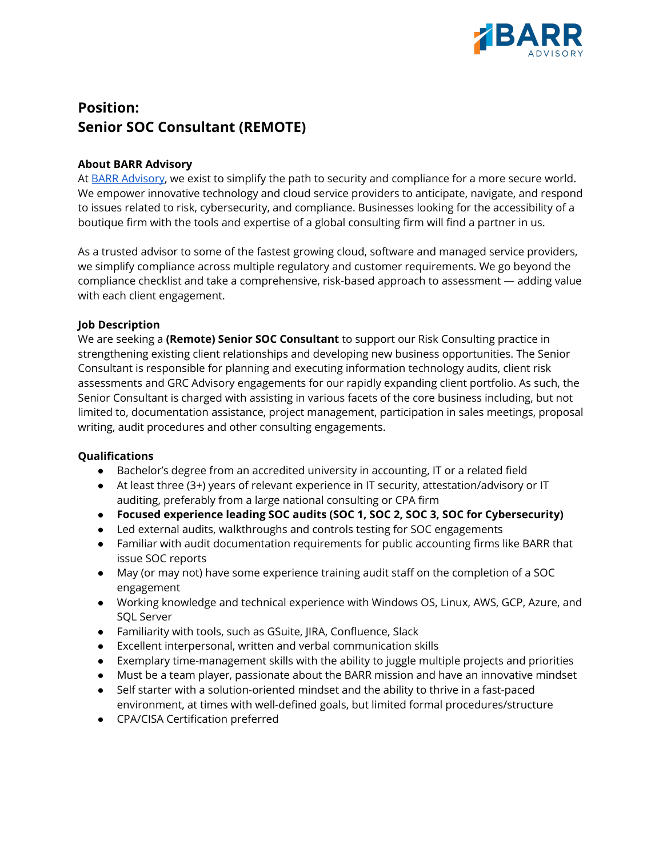

# **Position: Senior SOC Consultant (REMOTE)**

# **About BARR Advisory**

At BARR [Advisory](https://www.barradvisory.com/), we exist to simplify the path to security and compliance for a more secure world. We empower innovative technology and cloud service providers to anticipate, navigate, and respond to issues related to risk, cybersecurity, and compliance. Businesses looking for the accessibility of a boutique firm with the tools and expertise of a global consulting firm will find a partner in us.

As a trusted advisor to some of the fastest growing cloud, software and managed service providers, we simplify compliance across multiple regulatory and customer requirements. We go beyond the compliance checklist and take a comprehensive, risk-based approach to assessment — adding value with each client engagement.

# **Job Description**

We are seeking a **(Remote) Senior SOC Consultant** to support our Risk Consulting practice in strengthening existing client relationships and developing new business opportunities. The Senior Consultant is responsible for planning and executing information technology audits, client risk assessments and GRC Advisory engagements for our rapidly expanding client portfolio. As such, the Senior Consultant is charged with assisting in various facets of the core business including, but not limited to, documentation assistance, project management, participation in sales meetings, proposal writing, audit procedures and other consulting engagements.

#### **Qualifications**

- Bachelor's degree from an accredited university in accounting, IT or a related field
- At least three (3+) years of relevant experience in IT security, attestation/advisory or IT auditing, preferably from a large national consulting or CPA firm
- **● Focused experience leading SOC audits (SOC 1, SOC 2, SOC 3, SOC for Cybersecurity)**
- Led external audits, walkthroughs and controls testing for SOC engagements
- Familiar with audit documentation requirements for public accounting firms like BARR that issue SOC reports
- May (or may not) have some experience training audit staff on the completion of a SOC engagement
- Working knowledge and technical experience with Windows OS, Linux, AWS, GCP, Azure, and SQL Server
- Familiarity with tools, such as GSuite, JIRA, Confluence, Slack
- Excellent interpersonal, written and verbal communication skills
- Exemplary time-management skills with the ability to juggle multiple projects and priorities
- Must be a team player, passionate about the BARR mission and have an innovative mindset
- Self starter with a solution-oriented mindset and the ability to thrive in a fast-paced environment, at times with well-defined goals, but limited formal procedures/structure
- CPA/CISA Certification preferred